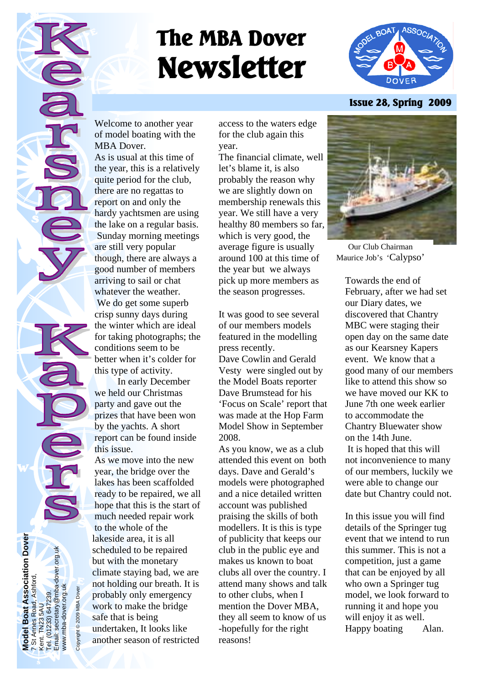# **The MBA Dover Newsletter**



**Issue 28, Spring 2009** 

Welcome to another year of model boating with the MBA Dover.

As is usual at this time of the year, this is a relatively quite period for the club, there are no regattas to report on and only the hardy yachtsmen are using the lake on a regular basis. Sunday morning meetings are still very popular though, there are always a good number of members arriving to sail or chat whatever the weather. We do get some superb crisp sunny days during the winter which are ideal for taking photographs; the conditions seem to be better when it's colder for this type of activity.

 In early December we held our Christmas party and gave out the prizes that have been won by the yachts. A short report can be found inside this issue.

As we move into the new year, the bridge over the lakes has been scaffolded ready to be repaired, we all hope that this is the start of much needed repair work to the whole of the lakeside area, it is all scheduled to be repaired but with the monetary climate staying bad, we are not holding our breath. It is probably only emergency work to make the bridge safe that is being undertaken, It looks like another season of restricted

**Model Boat Association Dover** 

**Iodel Boat Association Dover**<br>St Annes Road, Ashford,

7 St Annes Road, Ashford,

Kent. TN23 5AU Tel. (01233) 647239.

5AU<br>) 647239.

 $(233)$  $\mathbf{\check{e}}$  $\overline{\Phi}$  Email: secretary@mba-dover.org.uk

secretary@mba-dover.org.uk

www.mba-dover.org.uk Copyright © 2009 MBA Dover

@ 2009 MBA Dover

www.mba-dover.org.uk

access to the waters edge for the club again this year.

The financial climate, well let's blame it, is also probably the reason why we are slightly down on membership renewals this year. We still have a very healthy 80 members so far, which is very good, the average figure is usually around 100 at this time of the year but we always pick up more members as the season progresses.

It was good to see several of our members models featured in the modelling press recently.

Dave Cowlin and Gerald Vesty were singled out by the Model Boats reporter Dave Brumstead for his 'Focus on Scale' report that was made at the Hop Farm Model Show in September 2008.

As you know, we as a club attended this event on both days. Dave and Gerald's models were photographed and a nice detailed written account was published praising the skills of both modellers. It is this is type of publicity that keeps our club in the public eye and makes us known to boat clubs all over the country. I attend many shows and talk to other clubs, when I mention the Dover MBA, they all seem to know of us -hopefully for the right reasons!



Our Club Chairman Maurice Job's 'Calypso'

Towards the end of February, after we had set our Diary dates, we discovered that Chantry MBC were staging their open day on the same date as our Kearsney Kapers event. We know that a good many of our members like to attend this show so we have moved our KK to June 7th one week earlier to accommodate the Chantry Bluewater show on the 14th June. It is hoped that this will not inconvenience to many of our members, luckily we were able to change our date but Chantry could not.

In this issue you will find details of the Springer tug event that we intend to run this summer. This is not a competition, just a game that can be enjoyed by all who own a Springer tug model, we look forward to running it and hope you will enjoy it as well. Happy boating Alan.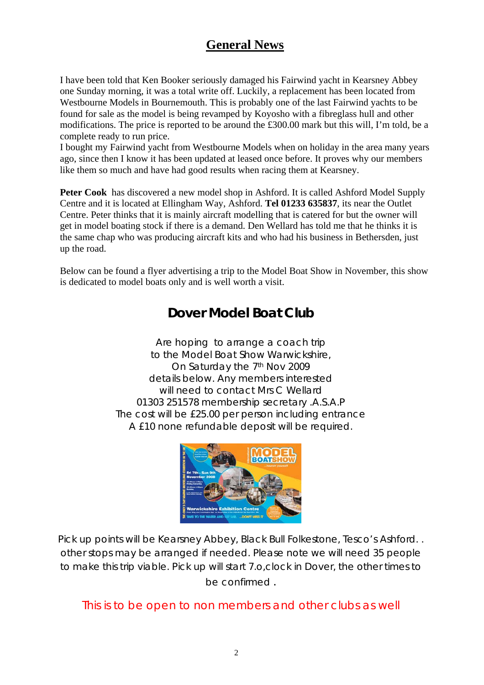## **General News**

I have been told that Ken Booker seriously damaged his Fairwind yacht in Kearsney Abbey one Sunday morning, it was a total write off. Luckily, a replacement has been located from Westbourne Models in Bournemouth. This is probably one of the last Fairwind yachts to be found for sale as the model is being revamped by Koyosho with a fibreglass hull and other modifications. The price is reported to be around the £300.00 mark but this will, I'm told, be a complete ready to run price.

I bought my Fairwind yacht from Westbourne Models when on holiday in the area many years ago, since then I know it has been updated at leased once before. It proves why our members like them so much and have had good results when racing them at Kearsney.

Peter Cook has discovered a new model shop in Ashford. It is called Ashford Model Supply Centre and it is located at Ellingham Way, Ashford. **Tel 01233 635837**, its near the Outlet Centre. Peter thinks that it is mainly aircraft modelling that is catered for but the owner will get in model boating stock if there is a demand. Den Wellard has told me that he thinks it is the same chap who was producing aircraft kits and who had his business in Bethersden, just up the road.

Below can be found a flyer advertising a trip to the Model Boat Show in November, this show is dedicated to model boats only and is well worth a visit.

## **Dover Model Boat Club**

Are hoping to arrange a coach trip to the Model Boat Show Warwickshire, On Saturday the 7<sup>th</sup> Nov 2009 details below. Any members interested will need to contact Mrs C Wellard 01303 251578 membership secretary .A.S.A.P The cost will be £25.00 per person including entrance A £10 none refundable deposit will be required.



Pick up points will be Kearsney Abbey, Black Bull Folkestone, Tesco's Ashford. . other stops may be arranged if needed. Please note we will need 35 people to make this trip viable. Pick up will start 7.o,clock in Dover, the other times to be confirmed .

This is to be open to non members and other clubs as well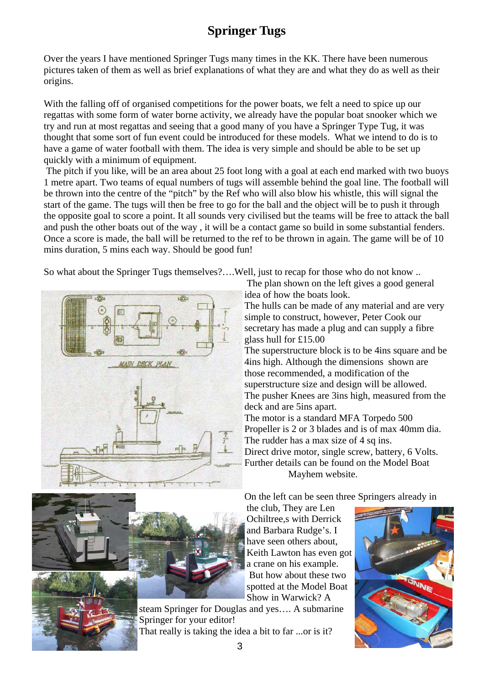## **Springer Tugs**

Over the years I have mentioned Springer Tugs many times in the KK. There have been numerous pictures taken of them as well as brief explanations of what they are and what they do as well as their origins.

With the falling off of organised competitions for the power boats, we felt a need to spice up our regattas with some form of water borne activity, we already have the popular boat snooker which we try and run at most regattas and seeing that a good many of you have a Springer Type Tug, it was thought that some sort of fun event could be introduced for these models. What we intend to do is to have a game of water football with them. The idea is very simple and should be able to be set up quickly with a minimum of equipment.

 The pitch if you like, will be an area about 25 foot long with a goal at each end marked with two buoys 1 metre apart. Two teams of equal numbers of tugs will assemble behind the goal line. The football will be thrown into the centre of the "pitch" by the Ref who will also blow his whistle, this will signal the start of the game. The tugs will then be free to go for the ball and the object will be to push it through the opposite goal to score a point. It all sounds very civilised but the teams will be free to attack the ball and push the other boats out of the way , it will be a contact game so build in some substantial fenders. Once a score is made, the ball will be returned to the ref to be thrown in again. The game will be of 10 mins duration, 5 mins each way. Should be good fun!

So what about the Springer Tugs themselves?….Well, just to recap for those who do not know ..



 The plan shown on the left gives a good general idea of how the boats look.

The hulls can be made of any material and are very simple to construct, however, Peter Cook our secretary has made a plug and can supply a fibre glass hull for £15.00

The superstructure block is to be 4ins square and be 4ins high. Although the dimensions shown are those recommended, a modification of the superstructure size and design will be allowed. The pusher Knees are 3ins high, measured from the deck and are 5ins apart.

The motor is a standard MFA Torpedo 500 Propeller is 2 or 3 blades and is of max 40mm dia. The rudder has a max size of 4 sq ins. Direct drive motor, single screw, battery, 6 Volts. Further details can be found on the Model Boat Mayhem website.

On the left can be seen three Springers already in

the club, They are Len Ochiltree,s with Derrick and Barbara Rudge's. I have seen others about, Keith Lawton has even got a crane on his example. But how about these two spotted at the Model Boat Show in Warwick? A

steam Springer for Douglas and yes…. A submarine Springer for your editor! That really is taking the idea a bit to far ...or is it?



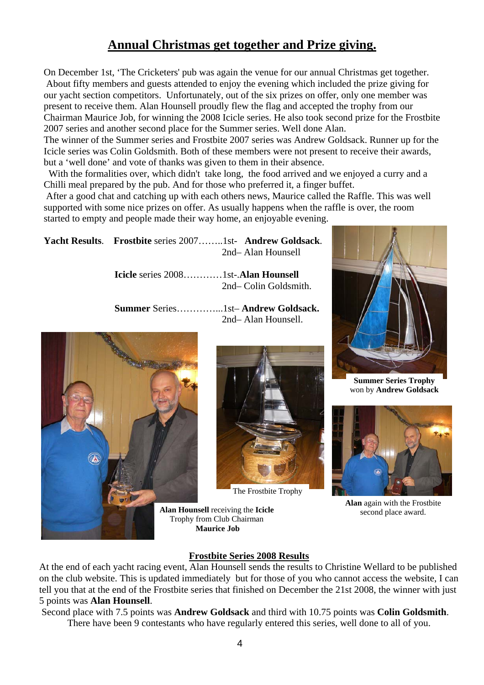## **Annual Christmas get together and Prize giving.**

On December 1st, 'The Cricketers' pub was again the venue for our annual Christmas get together. About fifty members and guests attended to enjoy the evening which included the prize giving for our yacht section competitors. Unfortunately, out of the six prizes on offer, only one member was present to receive them. Alan Hounsell proudly flew the flag and accepted the trophy from our Chairman Maurice Job, for winning the 2008 Icicle series. He also took second prize for the Frostbite 2007 series and another second place for the Summer series. Well done Alan.

The winner of the Summer series and Frostbite 2007 series was Andrew Goldsack. Runner up for the Icicle series was Colin Goldsmith. Both of these members were not present to receive their awards, but a 'well done' and vote of thanks was given to them in their absence.

With the formalities over, which didn't take long, the food arrived and we enjoyed a curry and a Chilli meal prepared by the pub. And for those who preferred it, a finger buffet.

 After a good chat and catching up with each others news, Maurice called the Raffle. This was well supported with some nice prizes on offer. As usually happens when the raffle is over, the room started to empty and people made their way home, an enjoyable evening.

**Yacht Results**. **Frostbite** series 2007……..1st- **Andrew Goldsack**. 2nd– Alan Hounsell

> **Icicle** series 2008…………1st-.**Alan Hounsell**  2nd– Colin Goldsmith.

 **Summer** Series…………...1st– **Andrew Goldsack.**  2nd– Alan Hounsell.





The Frostbite Trophy

**Alan Hounsell** receiving the **Icicle** Trophy from Club Chairman **Maurice Job** 



**Summer Series Trophy** won by **Andrew Goldsack**



**Alan** again with the Frostbite second place award.

#### **Frostbite Series 2008 Results**

At the end of each yacht racing event, Alan Hounsell sends the results to Christine Wellard to be published on the club website. This is updated immediately but for those of you who cannot access the website, I can tell you that at the end of the Frostbite series that finished on December the 21st 2008, the winner with just 5 points was **Alan Hounsell**.

Second place with 7.5 points was **Andrew Goldsack** and third with 10.75 points was **Colin Goldsmith**.

There have been 9 contestants who have regularly entered this series, well done to all of you.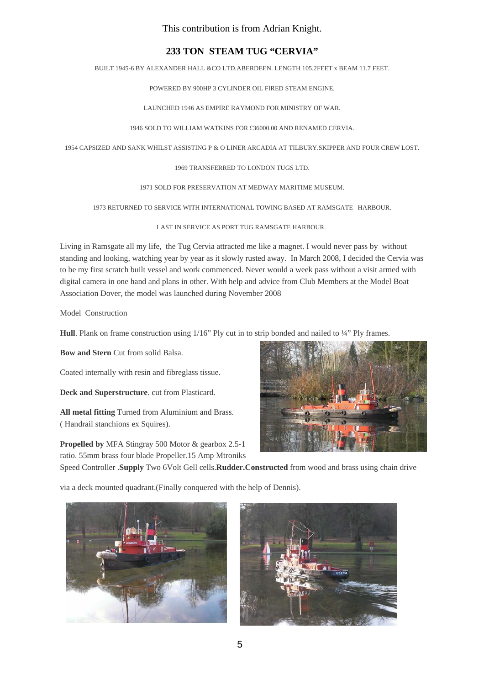This contribution is from Adrian Knight.

#### **233 TON STEAM TUG "CERVIA"**

BUILT 1945-6 BY ALEXANDER HALL &CO LTD.ABERDEEN. LENGTH 105.2FEET x BEAM 11.7 FEET.

POWERED BY 900HP 3 CYLINDER OIL FIRED STEAM ENGINE.

LAUNCHED 1946 AS EMPIRE RAYMOND FOR MINISTRY OF WAR.

1946 SOLD TO WILLIAM WATKINS FOR £36000.00 AND RENAMED CERVIA.

1954 CAPSIZED AND SANK WHILST ASSISTING P & O LINER ARCADIA AT TILBURY.SKIPPER AND FOUR CREW LOST.

1969 TRANSFERRED TO LONDON TUGS LTD.

1971 SOLD FOR PRESERVATION AT MEDWAY MARITIME MUSEUM.

1973 RETURNED TO SERVICE WITH INTERNATIONAL TOWING BASED AT RAMSGATE HARBOUR.

LAST IN SERVICE AS PORT TUG RAMSGATE HARBOUR.

Living in Ramsgate all my life, the Tug Cervia attracted me like a magnet. I would never pass by without standing and looking, watching year by year as it slowly rusted away. In March 2008, I decided the Cervia was to be my first scratch built vessel and work commenced. Never would a week pass without a visit armed with digital camera in one hand and plans in other. With help and advice from Club Members at the Model Boat Association Dover, the model was launched during November 2008

Model Construction

**Hull**. Plank on frame construction using 1/16" Ply cut in to strip bonded and nailed to ¼" Ply frames.

**Bow and Stern** Cut from solid Balsa.

Coated internally with resin and fibreglass tissue.

**Deck and Superstructure**. cut from Plasticard.

**All metal fitting** Turned from Aluminium and Brass. ( Handrail stanchions ex Squires).

**Propelled by** MFA Stingray 500 Motor & gearbox 2.5-1 ratio. 55mm brass four blade Propeller.15 Amp Mtroniks



Speed Controller .**Supply** Two 6Volt Gell cells.**Rudder.Constructed** from wood and brass using chain drive

via a deck mounted quadrant.(Finally conquered with the help of Dennis).



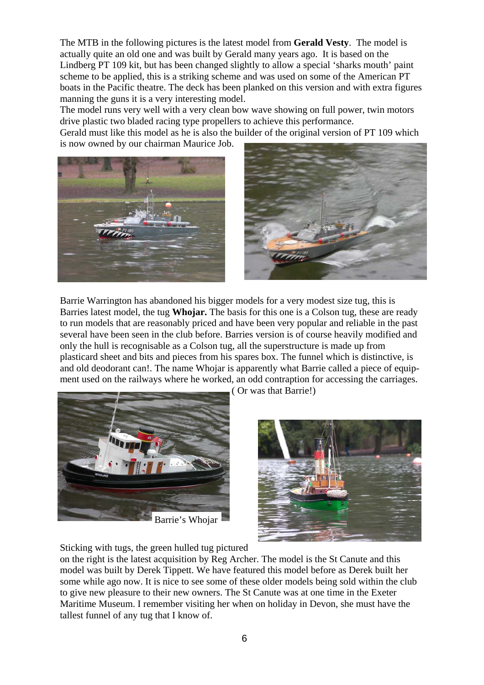The MTB in the following pictures is the latest model from **Gerald Vesty**. The model is actually quite an old one and was built by Gerald many years ago. It is based on the Lindberg PT 109 kit, but has been changed slightly to allow a special 'sharks mouth' paint scheme to be applied, this is a striking scheme and was used on some of the American PT boats in the Pacific theatre. The deck has been planked on this version and with extra figures manning the guns it is a very interesting model.

The model runs very well with a very clean bow wave showing on full power, twin motors drive plastic two bladed racing type propellers to achieve this performance.

Gerald must like this model as he is also the builder of the original version of PT 109 which is now owned by our chairman Maurice Job.



Barrie Warrington has abandoned his bigger models for a very modest size tug, this is Barries latest model, the tug **Whojar.** The basis for this one is a Colson tug, these are ready to run models that are reasonably priced and have been very popular and reliable in the past several have been seen in the club before. Barries version is of course heavily modified and only the hull is recognisable as a Colson tug, all the superstructure is made up from plasticard sheet and bits and pieces from his spares box. The funnel which is distinctive, is and old deodorant can!. The name Whojar is apparently what Barrie called a piece of equipment used on the railways where he worked, an odd contraption for accessing the carriages.



Barrie's Whojar

( Or was that Barrie!)



Sticking with tugs, the green hulled tug pictured

on the right is the latest acquisition by Reg Archer. The model is the St Canute and this model was built by Derek Tippett. We have featured this model before as Derek built her some while ago now. It is nice to see some of these older models being sold within the club to give new pleasure to their new owners. The St Canute was at one time in the Exeter Maritime Museum. I remember visiting her when on holiday in Devon, she must have the tallest funnel of any tug that I know of.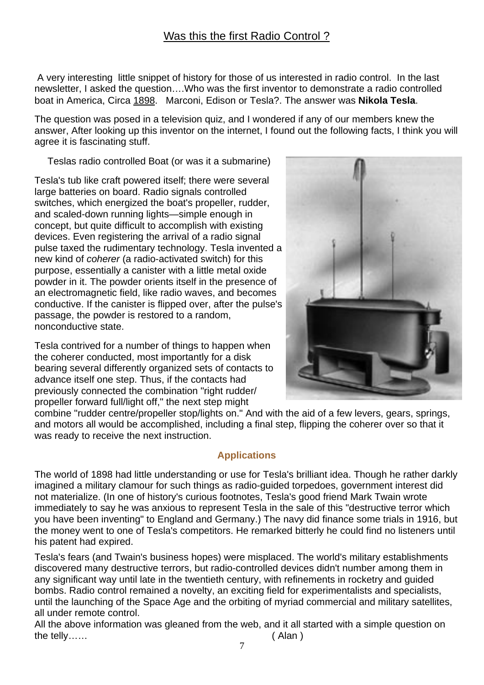A very interesting little snippet of history for those of us interested in radio control. In the last newsletter, I asked the question….Who was the first inventor to demonstrate a radio controlled boat in America, Circa 1898. Marconi, Edison or Tesla?. The answer was **Nikola Tesla**.

The question was posed in a television quiz, and I wondered if any of our members knew the answer, After looking up this inventor on the internet, I found out the following facts, I think you will agree it is fascinating stuff.

Teslas radio controlled Boat (or was it a submarine)

Tesla's tub like craft powered itself; there were several large batteries on board. Radio signals controlled switches, which energized the boat's propeller, rudder, and scaled-down running lights—simple enough in concept, but quite difficult to accomplish with existing devices. Even registering the arrival of a radio signal pulse taxed the rudimentary technology. Tesla invented a new kind of *coherer* (a radio-activated switch) for this purpose, essentially a canister with a little metal oxide powder in it. The powder orients itself in the presence of an electromagnetic field, like radio waves, and becomes conductive. If the canister is flipped over, after the pulse's passage, the powder is restored to a random, nonconductive state.

Tesla contrived for a number of things to happen when the coherer conducted, most importantly for a disk bearing several differently organized sets of contacts to advance itself one step. Thus, if the contacts had previously connected the combination "right rudder/ propeller forward full/light off," the next step might



combine "rudder centre/propeller stop/lights on." And with the aid of a few levers, gears, springs, and motors all would be accomplished, including a final step, flipping the coherer over so that it was ready to receive the next instruction.

### **Applications**

The world of 1898 had little understanding or use for Tesla's brilliant idea. Though he rather darkly imagined a military clamour for such things as radio-guided torpedoes, government interest did not materialize. (In one of history's curious footnotes, Tesla's good friend Mark Twain wrote immediately to say he was anxious to represent Tesla in the sale of this "destructive terror which you have been inventing" to England and Germany.) The navy did finance some trials in 1916, but the money went to one of Tesla's competitors. He remarked bitterly he could find no listeners until his patent had expired.

Tesla's fears (and Twain's business hopes) were misplaced. The world's military establishments discovered many destructive terrors, but radio-controlled devices didn't number among them in any significant way until late in the twentieth century, with refinements in rocketry and guided bombs. Radio control remained a novelty, an exciting field for experimentalists and specialists, until the launching of the Space Age and the orbiting of myriad commercial and military satellites, all under remote control.

All the above information was gleaned from the web, and it all started with a simple question on the telly…… (Alan )